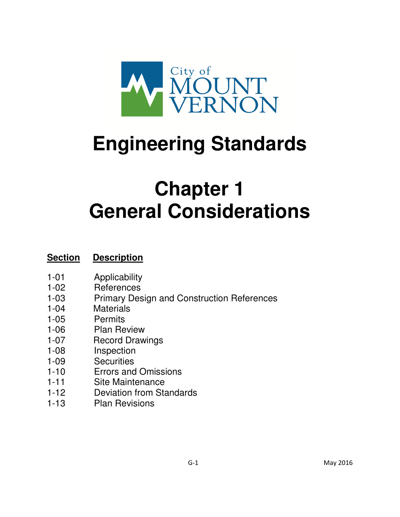

# **Engineering Standards**

## **Chapter 1 General Considerations**

## **Section Description**

- 1-01 Applicability
- 1-02 References
- 1-03 Primary Design and Construction References
- 1-04 Materials
- 1-05 Permits
- 1-06 Plan Review
- 1-07 Record Drawings
- 1-08 Inspection
- 1-09 Securities
- 1-10 Errors and Omissions
- 1-11 Site Maintenance
- 1-12 Deviation from Standards
- 1-13 Plan Revisions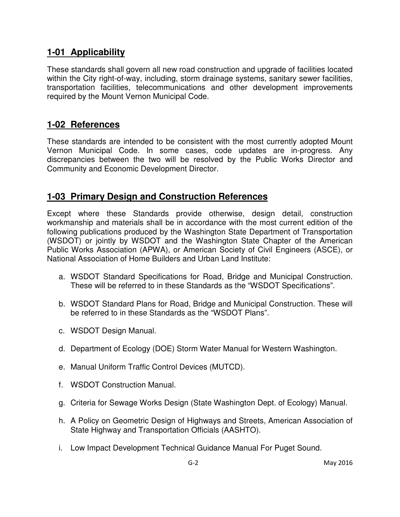#### **1-01 Applicability**

These standards shall govern all new road construction and upgrade of facilities located within the City right-of-way, including, storm drainage systems, sanitary sewer facilities, transportation facilities, telecommunications and other development improvements required by the Mount Vernon Municipal Code.

#### **1-02 References**

These standards are intended to be consistent with the most currently adopted Mount Vernon Municipal Code. In some cases, code updates are in-progress. Any discrepancies between the two will be resolved by the Public Works Director and Community and Economic Development Director.

#### **1-03 Primary Design and Construction References**

Except where these Standards provide otherwise, design detail, construction workmanship and materials shall be in accordance with the most current edition of the following publications produced by the Washington State Department of Transportation (WSDOT) or jointly by WSDOT and the Washington State Chapter of the American Public Works Association (APWA), or American Society of Civil Engineers (ASCE), or National Association of Home Builders and Urban Land Institute:

- a. WSDOT Standard Specifications for Road, Bridge and Municipal Construction. These will be referred to in these Standards as the "WSDOT Specifications".
- b. WSDOT Standard Plans for Road, Bridge and Municipal Construction. These will be referred to in these Standards as the "WSDOT Plans".
- c. WSDOT Design Manual.
- d. Department of Ecology (DOE) Storm Water Manual for Western Washington.
- e. Manual Uniform Traffic Control Devices (MUTCD).
- f. WSDOT Construction Manual.
- g. Criteria for Sewage Works Design (State Washington Dept. of Ecology) Manual.
- h. A Policy on Geometric Design of Highways and Streets, American Association of State Highway and Transportation Officials (AASHTO).
- i. Low Impact Development Technical Guidance Manual For Puget Sound.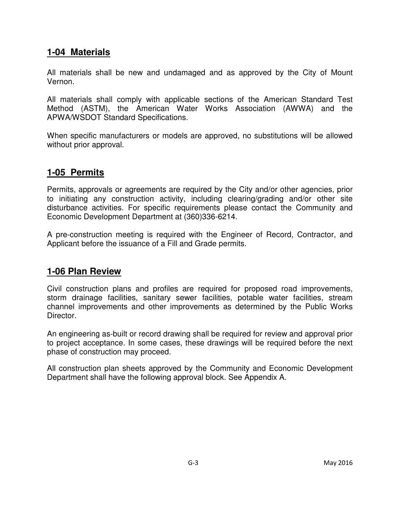#### **1-04 Materials**

All materials shall be new and undamaged and as approved by the City of Mount Vernon.

All materials shall comply with applicable sections of the American Standard Test Method (ASTM), the American Water Works Association (AWWA) and the APWA/WSDOT Standard Specifications.

When specific manufacturers or models are approved, no substitutions will be allowed without prior approval.

#### **1-05 Permits**

Permits, approvals or agreements are required by the City and/or other agencies, prior to initiating any construction activity, including clearing/grading and/or other site disturbance activities. For specific requirements please contact the Community and Economic Development Department at (360)336-6214.

A pre-construction meeting is required with the Engineer of Record, Contractor, and Applicant before the issuance of a Fill and Grade permits.

#### **1-06 Plan Review**

Civil construction plans and profiles are required for proposed road improvements, storm drainage facilities, sanitary sewer facilities, potable water facilities, stream channel improvements and other improvements as determined by the Public Works Director.

An engineering as-built or record drawing shall be required for review and approval prior to project acceptance. In some cases, these drawings will be required before the next phase of construction may proceed.

All construction plan sheets approved by the Community and Economic Development Department shall have the following approval block. See Appendix A.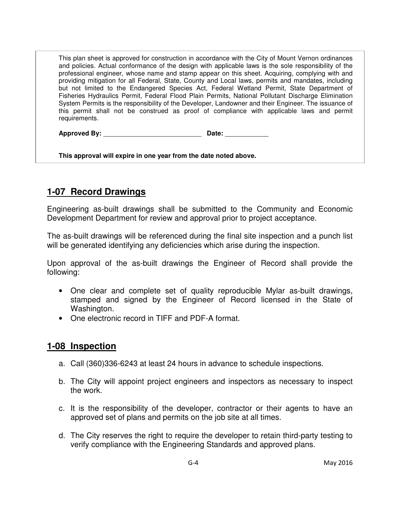This plan sheet is approved for construction in accordance with the City of Mount Vernon ordinances and policies. Actual conformance of the design with applicable laws is the sole responsibility of the professional engineer, whose name and stamp appear on this sheet. Acquiring, complying with and providing mitigation for all Federal, State, County and Local laws, permits and mandates, including but not limited to the Endangered Species Act, Federal Wetland Permit, State Department of Fisheries Hydraulics Permit, Federal Flood Plain Permits, National Pollutant Discharge Elimination System Permits is the responsibility of the Developer, Landowner and their Engineer. The issuance of this permit shall not be construed as proof of compliance with applicable laws and permit requirements.

**Approved By:** \_\_\_\_\_\_\_\_\_\_\_\_\_\_\_\_\_\_\_\_\_\_\_\_\_\_\_ **Date:** \_\_\_\_\_\_\_\_\_\_\_\_

**This approval will expire in one year from the date noted above.** 

### **1-07 Record Drawings**

Engineering as-built drawings shall be submitted to the Community and Economic Development Department for review and approval prior to project acceptance.

The as-built drawings will be referenced during the final site inspection and a punch list will be generated identifying any deficiencies which arise during the inspection.

Upon approval of the as-built drawings the Engineer of Record shall provide the following:

- One clear and complete set of quality reproducible Mylar as-built drawings, stamped and signed by the Engineer of Record licensed in the State of Washington.
- One electronic record in TIFF and PDF-A format.

#### **1-08 Inspection**

- a. Call (360)336-6243 at least 24 hours in advance to schedule inspections.
- b. The City will appoint project engineers and inspectors as necessary to inspect the work.
- c. It is the responsibility of the developer, contractor or their agents to have an approved set of plans and permits on the job site at all times.
- d. The City reserves the right to require the developer to retain third-party testing to verify compliance with the Engineering Standards and approved plans.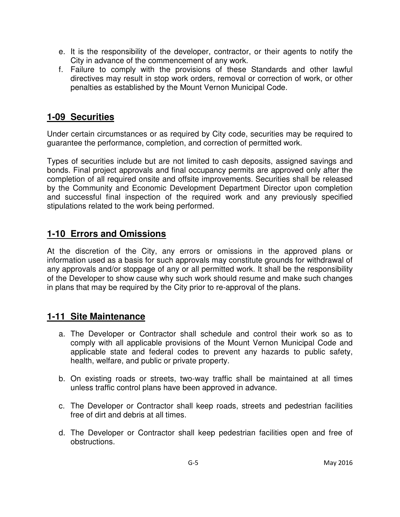- e. It is the responsibility of the developer, contractor, or their agents to notify the City in advance of the commencement of any work.
- f. Failure to comply with the provisions of these Standards and other lawful directives may result in stop work orders, removal or correction of work, or other penalties as established by the Mount Vernon Municipal Code.

#### **1-09 Securities**

Under certain circumstances or as required by City code, securities may be required to guarantee the performance, completion, and correction of permitted work.

Types of securities include but are not limited to cash deposits, assigned savings and bonds. Final project approvals and final occupancy permits are approved only after the completion of all required onsite and offsite improvements. Securities shall be released by the Community and Economic Development Department Director upon completion and successful final inspection of the required work and any previously specified stipulations related to the work being performed.

#### **1-10 Errors and Omissions**

At the discretion of the City, any errors or omissions in the approved plans or information used as a basis for such approvals may constitute grounds for withdrawal of any approvals and/or stoppage of any or all permitted work. It shall be the responsibility of the Developer to show cause why such work should resume and make such changes in plans that may be required by the City prior to re-approval of the plans.

#### **1-11 Site Maintenance**

- a. The Developer or Contractor shall schedule and control their work so as to comply with all applicable provisions of the Mount Vernon Municipal Code and applicable state and federal codes to prevent any hazards to public safety, health, welfare, and public or private property.
- b. On existing roads or streets, two-way traffic shall be maintained at all times unless traffic control plans have been approved in advance.
- c. The Developer or Contractor shall keep roads, streets and pedestrian facilities free of dirt and debris at all times.
- d. The Developer or Contractor shall keep pedestrian facilities open and free of obstructions.